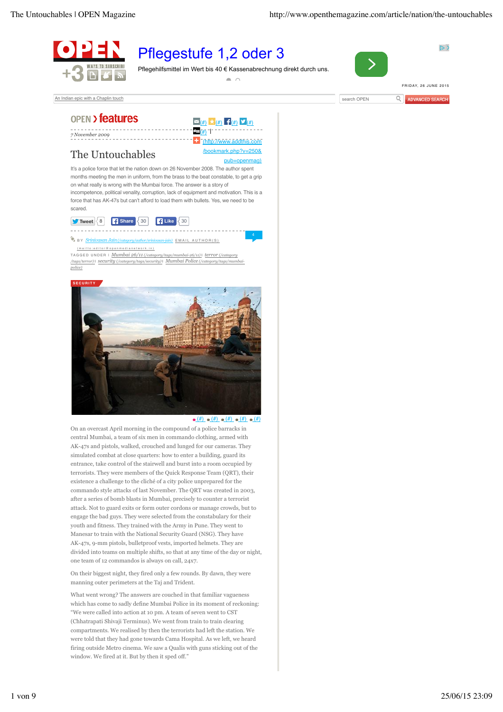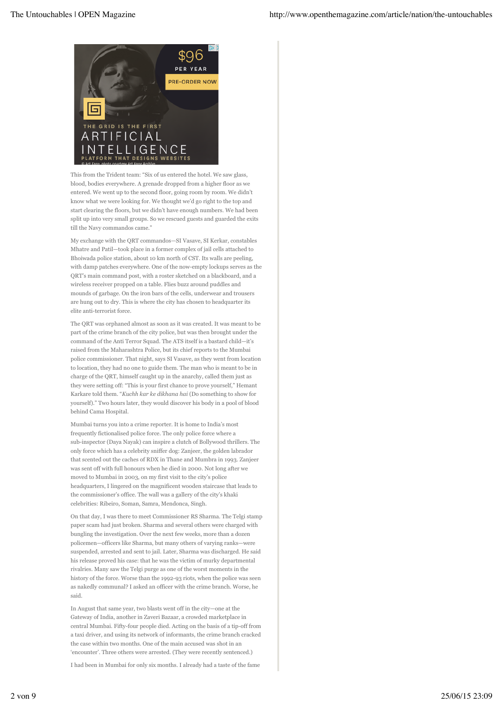

This from the Trident team: "Six of us entered the hotel. We saw glass, blood, bodies everywhere. A grenade dropped from a higher floor as we entered. We went up to the second floor, going room by room. We didn't know what we were looking for. We thought we'd go right to the top and start clearing the floors, but we didn't have enough numbers. We had been split up into very small groups. So we rescued guests and guarded the exits till the Navy commandos came."

My exchange with the QRT commandos—SI Vasave, SI Kerkar, constables Mhatre and Patil—took place in a former complex of jail cells attached to Bhoiwada police station, about 10 km north of CST. Its walls are peeling, with damp patches everywhere. One of the now-empty lockups serves as the QRT's main command post, with a roster sketched on a blackboard, and a wireless receiver propped on a table. Flies buzz around puddles and mounds of garbage. On the iron bars of the cells, underwear and trousers are hung out to dry. This is where the city has chosen to headquarter its elite anti-terrorist force.

The QRT was orphaned almost as soon as it was created. It was meant to be part of the crime branch of the city police, but was then brought under the command of the Anti Terror Squad. The ATS itself is a bastard child—it's raised from the Maharashtra Police, but its chief reports to the Mumbai police commissioner. That night, says SI Vasave, as they went from location to location, they had no one to guide them. The man who is meant to be in charge of the QRT, himself caught up in the anarchy, called them just as they were setting off: "This is your first chance to prove yourself," Hemant Karkare told them. "*Kuchh kar ke dikhana hai* (Do something to show for yourself)." Two hours later, they would discover his body in a pool of blood behind Cama Hospital.

Mumbai turns you into a crime reporter. It is home to India's most frequently fictionalised police force. The only police force where a sub-inspector (Daya Nayak) can inspire a clutch of Bollywood thrillers. The only force which has a celebrity sniffer dog: Zanjeer, the golden labrador that scented out the caches of RDX in Thane and Mumbra in 1993. Zanjeer was sent off with full honours when he died in 2000. Not long after we moved to Mumbai in 2003, on my first visit to the city's police headquarters, I lingered on the magnificent wooden staircase that leads to the commissioner's office. The wall was a gallery of the city's khaki celebrities: Ribeiro, Soman, Samra, Mendonca, Singh.

On that day, I was there to meet Commissioner RS Sharma. The Telgi stamp paper scam had just broken. Sharma and several others were charged with bungling the investigation. Over the next few weeks, more than a dozen policemen—officers like Sharma, but many others of varying ranks—were suspended, arrested and sent to jail. Later, Sharma was discharged. He said his release proved his case: that he was the victim of murky departmental rivalries. Many saw the Telgi purge as one of the worst moments in the history of the force. Worse than the 1992-93 riots, when the police was seen as nakedly communal? I asked an officer with the crime branch. Worse, he said.

In August that same year, two blasts went off in the city—one at the Gateway of India, another in Zaveri Bazaar, a crowded marketplace in central Mumbai. Fifty-four people died. Acting on the basis of a tip-off from a taxi driver, and using its network of informants, the crime branch cracked the case within two months. One of the main accused was shot in an 'encounter'. Three others were arrested. (They were recently sentenced.)

I had been in Mumbai for only six months. I already had a taste of the fame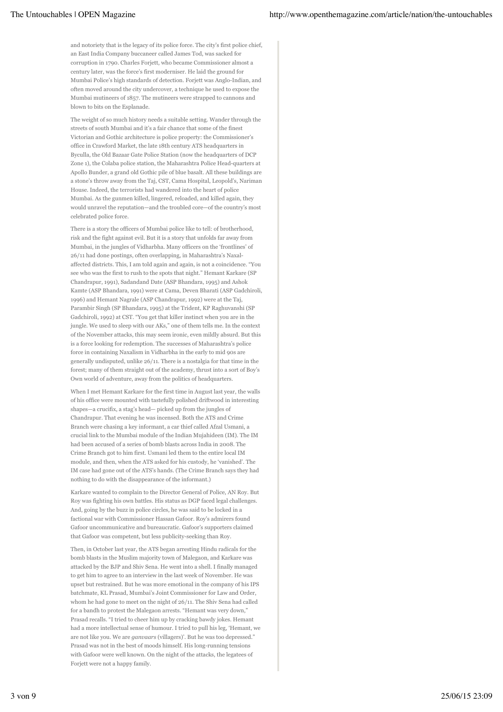and notoriety that is the legacy of its police force. The city's first police chief, an East India Company buccaneer called James Tod, was sacked for corruption in 1790. Charles Forjett, who became Commissioner almost a century later, was the force's first moderniser. He laid the ground for Mumbai Police's high standards of detection. Forjett was Anglo-Indian, and often moved around the city undercover, a technique he used to expose the Mumbai mutineers of 1857. The mutineers were strapped to cannons and blown to bits on the Esplanade.

The weight of so much history needs a suitable setting. Wander through the streets of south Mumbai and it's a fair chance that some of the finest Victorian and Gothic architecture is police property: the Commissioner's office in Crawford Market, the late 18th century ATS headquarters in Byculla, the Old Bazaar Gate Police Station (now the headquarters of DCP Zone 1), the Colaba police station, the Maharashtra Police Head-quarters at Apollo Bunder, a grand old Gothic pile of blue basalt. All these buildings are a stone's throw away from the Taj, CST, Cama Hospital, Leopold's, Nariman House. Indeed, the terrorists had wandered into the heart of police Mumbai. As the gunmen killed, lingered, reloaded, and killed again, they would unravel the reputation—and the troubled core—of the country's most celebrated police force.

There is a story the officers of Mumbai police like to tell: of brotherhood, risk and the fight against evil. But it is a story that unfolds far away from Mumbai, in the jungles of Vidharbha. Many officers on the 'frontlines' of 26/11 had done postings, often overlapping, in Maharashtra's Naxalaffected districts. This, I am told again and again, is not a coincidence. "You see who was the first to rush to the spots that night." Hemant Karkare (SP Chandrapur, 1991), Sadandand Date (ASP Bhandara, 1995) and Ashok Kamte (ASP Bhandara, 1991) were at Cama, Deven Bharati (ASP Gadchiroli, 1996) and Hemant Nagrale (ASP Chandrapur, 1992) were at the Taj, Parambir Singh (SP Bhandara, 1995) at the Trident, KP Raghuvanshi (SP Gadchiroli, 1992) at CST. "You get that killer instinct when you are in the jungle. We used to sleep with our AKs," one of them tells me. In the context of the November attacks, this may seem ironic, even mildly absurd. But this is a force looking for redemption. The successes of Maharashtra's police force in containing Naxalism in Vidharbha in the early to mid 90s are generally undisputed, unlike 26/11. There is a nostalgia for that time in the forest; many of them straight out of the academy, thrust into a sort of Boy's Own world of adventure, away from the politics of headquarters.

When I met Hemant Karkare for the first time in August last year, the walls of his office were mounted with tastefully polished driftwood in interesting shapes—a crucifix, a stag's head— picked up from the jungles of Chandrapur. That evening he was incensed. Both the ATS and Crime Branch were chasing a key informant, a car thief called Afzal Usmani, a crucial link to the Mumbai module of the Indian Mujahideen (IM). The IM had been accused of a series of bomb blasts across India in 2008. The Crime Branch got to him first. Usmani led them to the entire local IM module, and then, when the ATS asked for his custody, he 'vanished'. The IM case had gone out of the ATS's hands. (The Crime Branch says they had nothing to do with the disappearance of the informant.)

Karkare wanted to complain to the Director General of Police, AN Roy. But Roy was fighting his own battles. His status as DGP faced legal challenges. And, going by the buzz in police circles, he was said to be locked in a factional war with Commissioner Hassan Gafoor. Roy's admirers found Gafoor uncommunicative and bureaucratic. Gafoor's supporters claimed that Gafoor was competent, but less publicity-seeking than Roy.

Then, in October last year, the ATS began arresting Hindu radicals for the bomb blasts in the Muslim majority town of Malegaon, and Karkare was attacked by the BJP and Shiv Sena. He went into a shell. I finally managed to get him to agree to an interview in the last week of November. He was upset but restrained. But he was more emotional in the company of his IPS batchmate, KL Prasad, Mumbai's Joint Commissioner for Law and Order, whom he had gone to meet on the night of 26/11. The Shiv Sena had called for a bandh to protest the Malegaon arrests. "Hemant was very down," Prasad recalls. "I tried to cheer him up by cracking bawdy jokes. Hemant had a more intellectual sense of humour. I tried to pull his leg, 'Hemant, we are not like you. We are *ganvaars* (villagers)'. But he was too depressed." Prasad was not in the best of moods himself. His long-running tensions with Gafoor were well known. On the night of the attacks, the legatees of Forjett were not a happy family.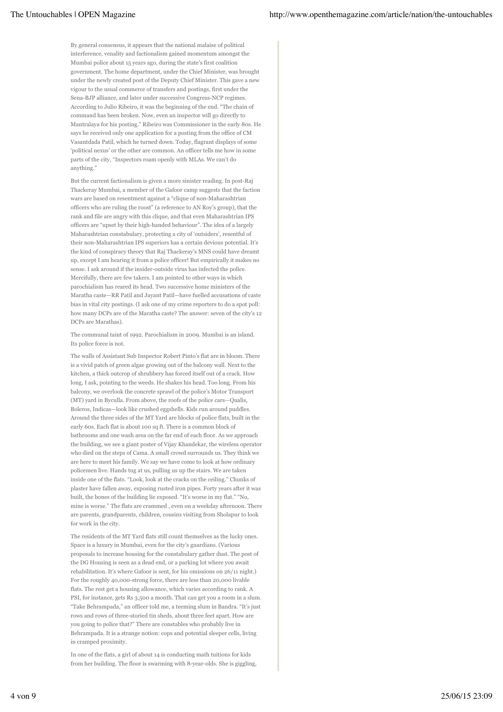By general consensus, it appears that the national malaise of political interference, venality and factionalism gained momentum amongst the Mumbai police about 15 years ago, during the state's first coalition government. The home department, under the Chief Minister, was brought under the newly created post of the Deputy Chief Minister. This gave a new vigour to the usual commerce of transfers and postings, first under the Sena-BJP alliance, and later under successive Congress-NCP regimes. According to Julio Ribeiro, it was the beginning of the end. "The chain of command has been broken. Now, even an inspector will go directly to Mantralaya for his posting." Ribeiro was Commissioner in the early 80s. He says he received only one application for a posting from the office of CM Vasantdada Patil, which he turned down. Today, flagrant displays of some 'political nexus' or the other are common. An officer tells me how in some parts of the city, "Inspectors roam openly with MLAs. We can't do anything."

But the current factionalism is given a more sinister reading. In post-Raj Thackeray Mumbai, a member of the Gafoor camp suggests that the faction wars are based on resentment against a "clique of non-Maharashtrian officers who are ruling the roost" (a reference to AN Roy's group), that the rank and file are angry with this clique, and that even Maharashtrian IPS officers are "upset by their high-handed behaviour". The idea of a largely Maharashtrian constabulary, protecting a city of 'outsiders', resentful of their non-Maharashtrian IPS superiors has a certain devious potential. It's the kind of conspiracy theory that Raj Thackeray's MNS could have dreamt up, except I am hearing it from a police officer! But empirically it makes no sense. I ask around if the insider-outside virus has infected the police. Mercifully, there are few takers. I am pointed to other ways in which parochialism has reared its head. Two successive home ministers of the Maratha caste—RR Patil and Jayant Patil—have fuelled accusations of caste bias in vital city postings. (I ask one of my crime reporters to do a spot poll: how many DCPs are of the Maratha caste? The answer: seven of the city's 12 DCPs are Marathas).

The communal taint of 1992. Parochialism in 2009. Mumbai is an island. Its police force is not.

The walls of Assistant Sub Inspector Robert Pinto's flat are in bloom. There is a vivid patch of green algae growing out of the balcony wall. Next to the kitchen, a thick outcrop of shrubbery has forced itself out of a crack. How long, I ask, pointing to the weeds. He shakes his head. Too long. From his balcony, we overlook the concrete sprawl of the police's Motor Transport (MT) yard in Byculla. From above, the roofs of the police cars—Qualis, Boleros, Indicas—look like crushed eggshells. Kids run around puddles. Around the three sides of the MT Yard are blocks of police flats, built in the early 60s. Each flat is about 100 sq ft. There is a common block of bathrooms and one wash area on the far end of each floor. As we approach the building, we see a giant poster of Vijay Khandekar, the wireless operator who died on the steps of Cama. A small crowd surrounds us. They think we are here to meet his family. We say we have come to look at how ordinary policemen live. Hands tug at us, pulling us up the stairs. We are taken inside one of the flats. "Look, look at the cracks on the ceiling." Chunks of plaster have fallen away, exposing rusted iron pipes. Forty years after it was built, the bones of the building lie exposed. "It's worse in my flat." "No, mine is worse." The flats are crammed , even on a weekday afternoon. There are parents, grandparents, children, cousins visiting from Sholapur to look for work in the city.

The residents of the MT Yard flats still count themselves as the lucky ones. Space is a luxury in Mumbai, even for the city's guardians. (Various proposals to increase housing for the constabulary gather dust. The post of the DG Housing is seen as a dead end, or a parking lot where you await rehabilitation. It's where Gafoor is sent, for his omissions on 26/11 night.) For the roughly 40,000-strong force, there are less than 20,000 livable flats. The rest get a housing allowance, which varies according to rank. A PSI, for instance, gets Rs 3,500 a month. That can get you a room in a slum. "Take Behrampada," an officer told me, a teeming slum in Bandra. "It's just rows and rows of three-storied tin sheds, about three feet apart. How are you going to police that?" There are constables who probably live in Behrampada. It is a strange notion: cops and potential sleeper cells, living in cramped proximity.

In one of the flats, a girl of about 14 is conducting math tuitions for kids from her building. The floor is swarming with 8-year-olds. She is giggling,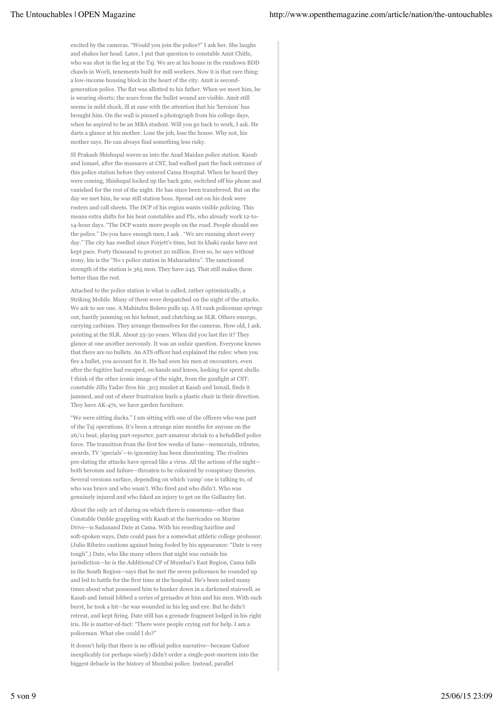excited by the cameras. "Would you join the police?" I ask her. She laughs and shakes her head. Later, I put that question to constable Amit Chitle, who was shot in the leg at the Taj. We are at his home in the rundown BDD chawls in Worli, tenements built for mill workers. Now it is that rare thing: a low-income housing block in the heart of the city. Amit is secondgeneration police. The flat was allotted to his father. When we meet him, he is wearing shorts; the scars from the bullet wound are visible. Amit still seems in mild shock, ill at ease with the attention that his 'heroism' has brought him. On the wall is pinned a photograph from his college days, when he aspired to be an MBA student. Will you go back to work, I ask. He darts a glance at his mother. Lose the job, lose the house. Why not, his mother says. He can always find something less risky.

SI Prakash Shishupal waves us into the Azad Maidan police station. Kasab and Ismael, after the massacre at CST, had walked past the back entrance of this police station before they entered Cama Hospital. When he heard they were coming, Shishupal locked up the back gate, switched off his phone and vanished for the rest of the night. He has since been transferred. But on the day we met him, he was still station boss. Spread out on his desk were rosters and call sheets. The DCP of his region wants visible policing. This means extra shifts for his beat constables and PIs, who already work 12-to-14-hour days. "The DCP wants more people on the road. People should see the police." Do you have enough men, I ask . "We are running short every day." The city has swelled since Forjett's time, but its khaki ranks have not kept pace. Forty thousand to protect 20 million. Even so, he says without irony, his is the "No 1 police station in Maharashtra". The sanctioned strength of the station is 365 men. They have 245. That still makes them better than the rest.

Attached to the police station is what is called, rather optimistically, a Striking Mobile. Many of them were despatched on the night of the attacks. We ask to see one. A Mahindra Bolero pulls up. A SI rank policeman springs out, hastily jamming on his helmet, and clutching an SLR. Others emerge, carrying carbines. They arrange themselves for the cameras. How old, I ask, pointing at the SLR. About 25-30 years. When did you last fire it? They glance at one another nervously. It was an unfair question. Everyone knows that there are no bullets. An ATS officer had explained the rules: when you fire a bullet, you account for it. He had seen his men at encounters, even after the fugitive had escaped, on hands and knees, looking for spent shells. I think of the other iconic image of the night, from the gunfight at CST: constable Jillu Yadav fires his .303 musket at Kasab and Ismail, finds it jammed, and out of sheer frustration hurls a plastic chair in their direction. They have AK-47s, we have garden furniture.

"We were sitting ducks." I am sitting with one of the officers who was part of the Taj operations. It's been a strange nine months for anyone on the 26/11 beat, playing part-reporter, part-amateur shrink to a befuddled police force. The transition from the first few weeks of fame—memorials, tributes, awards, TV 'specials'—to ignominy has been disorienting. The rivalries pre-dating the attacks have spread like a virus. All the actions of the night both heroism and failure—threaten to be coloured by conspiracy theories. Several versions surface, depending on which 'camp' one is talking to, of who was brave and who wasn't. Who fired and who didn't. Who was genuinely injured and who faked an injury to get on the Gallantry list.

About the only act of daring on which there is consensus—other than Constable Omble grappling with Kasab at the barricades on Marine Drive—is Sadanand Date at Cama. With his receding hairline and soft-spoken ways, Date could pass for a somewhat athletic college professor. (Julio Ribeiro cautions against being fooled by his appearance: "Date is very tough".) Date, who like many others that night was outside his jurisdiction—he is the Additional CP of Mumbai's East Region, Cama falls in the South Region—says that he met the seven policemen he rounded up and led to battle for the first time at the hospital. He's been asked many times about what possessed him to hunker down in a darkened stairwell, as Kasab and Ismail lobbed a series of grenades at him and his men. With each burst, he took a hit—he was wounded in his leg and eye. But he didn't retreat, and kept firing. Date still has a grenade fragment lodged in his right iris. He is matter-of-fact: "There were people crying out for help. I am a policeman. What else could I do?"

It doesn't help that there is no official police narrative—because Gafoor inexplicably (or perhaps wisely) didn't order a single post-mortem into the biggest debacle in the history of Mumbai police. Instead, parallel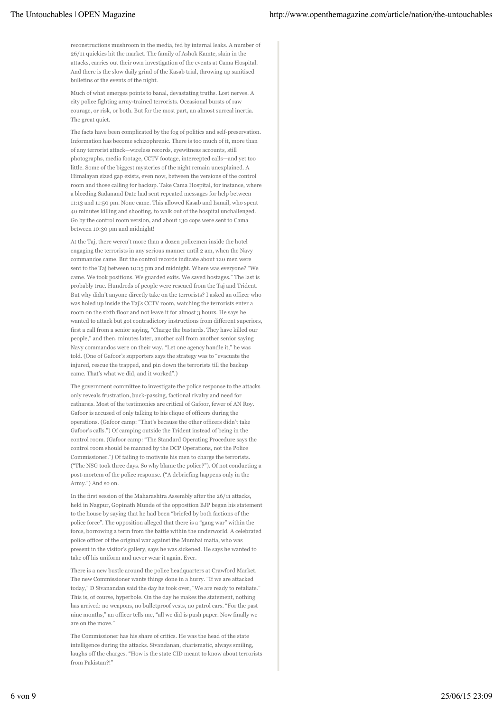reconstructions mushroom in the media, fed by internal leaks. A number of 26/11 quickies hit the market. The family of Ashok Kamte, slain in the attacks, carries out their own investigation of the events at Cama Hospital. And there is the slow daily grind of the Kasab trial, throwing up sanitised bulletins of the events of the night.

Much of what emerges points to banal, devastating truths. Lost nerves. A city police fighting army-trained terrorists. Occasional bursts of raw courage, or risk, or both. But for the most part, an almost surreal inertia. The great quiet.

The facts have been complicated by the fog of politics and self-preservation. Information has become schizophrenic. There is too much of it, more than of any terrorist attack—wireless records, eyewitness accounts, still photographs, media footage, CCTV footage, intercepted calls—and yet too little. Some of the biggest mysteries of the night remain unexplained. A Himalayan sized gap exists, even now, between the versions of the control room and those calling for backup. Take Cama Hospital, for instance, where a bleeding Sadanand Date had sent repeated messages for help between 11:13 and 11:50 pm. None came. This allowed Kasab and Ismail, who spent 40 minutes killing and shooting, to walk out of the hospital unchallenged. Go by the control room version, and about 130 cops were sent to Cama between 10:30 pm and midnight!

At the Taj, there weren't more than a dozen policemen inside the hotel engaging the terrorists in any serious manner until 2 am, when the Navy commandos came. But the control records indicate about 120 men were sent to the Taj between 10:15 pm and midnight. Where was everyone? "We came. We took positions. We guarded exits. We saved hostages." The last is probably true. Hundreds of people were rescued from the Taj and Trident. But why didn't anyone directly take on the terrorists? I asked an officer who was holed up inside the Taj's CCTV room, watching the terrorists enter a room on the sixth floor and not leave it for almost 3 hours. He says he wanted to attack but got contradictory instructions from different superiors, first a call from a senior saying, "Charge the bastards. They have killed our people," and then, minutes later, another call from another senior saying Navy commandos were on their way. "Let one agency handle it," he was told. (One of Gafoor's supporters says the strategy was to "evacuate the injured, rescue the trapped, and pin down the terrorists till the backup came. That's what we did, and it worked".)

The government committee to investigate the police response to the attacks only reveals frustration, buck-passing, factional rivalry and need for catharsis. Most of the testimonies are critical of Gafoor, fewer of AN Roy. Gafoor is accused of only talking to his clique of officers during the operations. (Gafoor camp: "That's because the other officers didn't take Gafoor's calls.") Of camping outside the Trident instead of being in the control room. (Gafoor camp: "The Standard Operating Procedure says the control room should be manned by the DCP Operations, not the Police Commissioner.") Of failing to motivate his men to charge the terrorists. ("The NSG took three days. So why blame the police?"). Of not conducting a post-mortem of the police response. ("A debriefing happens only in the Army.") And so on.

In the first session of the Maharashtra Assembly after the 26/11 attacks, held in Nagpur, Gopinath Munde of the opposition BJP began his statement to the house by saying that he had been "briefed by both factions of the police force". The opposition alleged that there is a "gang war" within the force, borrowing a term from the battle within the underworld. A celebrated police officer of the original war against the Mumbai mafia, who was present in the visitor's gallery, says he was sickened. He says he wanted to take off his uniform and never wear it again. Ever.

There is a new bustle around the police headquarters at Crawford Market. The new Commissioner wants things done in a hurry. "If we are attacked today," D Sivanandan said the day he took over, "We are ready to retaliate." This is, of course, hyperbole. On the day he makes the statement, nothing has arrived: no weapons, no bulletproof vests, no patrol cars. "For the past nine months," an officer tells me, "all we did is push paper. Now finally we are on the move.'

The Commissioner has his share of critics. He was the head of the state intelligence during the attacks. Sivandanan, charismatic, always smiling, laughs off the charges. "How is the state CID meant to know about terrorists from Pakistan?!"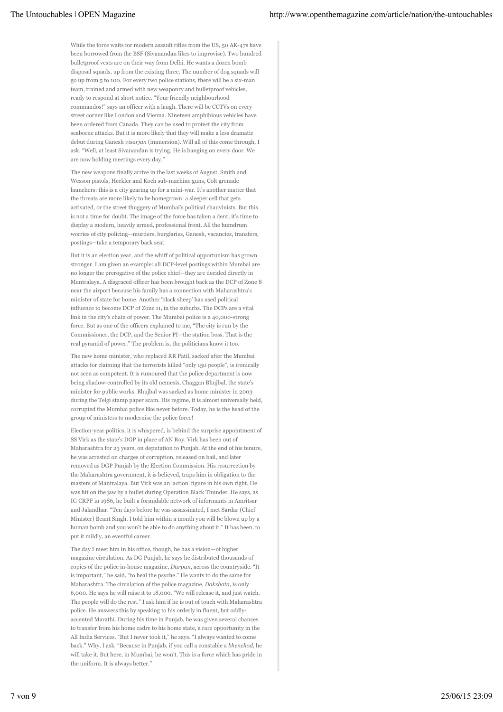While the force waits for modern assault rifles from the US, 50 AK-47s have been borrowed from the BSF (Sivanandan likes to improvise). Two hundred bulletproof vests are on their way from Delhi. He wants a dozen bomb disposal squads, up from the existing three. The number of dog squads will go up from 5 to 100. For every two police stations, there will be a six-man team, trained and armed with new weaponry and bulletproof vehicles, ready to respond at short notice. "Your friendly neighbourhood commandos!" says an officer with a laugh. There will be CCTVs on every street corner like London and Vienna. Nineteen amphibious vehicles have been ordered from Canada. They can be used to protect the city from seaborne attacks. But it is more likely that they will make a less dramatic debut during Ganesh *visarjan* (immersion). Will all of this come through, I ask. "Well, at least Sivanandan is trying. He is banging on every door. We are now holding meetings every day."

The new weapons finally arrive in the last weeks of August. Smith and Wesson pistols, Heckler and Koch sub-machine guns, Colt grenade launchers: this is a city gearing up for a mini-war. It's another matter that the threats are more likely to be homegrown: a sleeper cell that gets activated, or the street thuggery of Mumbai's political chauvinists. But this is not a time for doubt. The image of the force has taken a dent; it's time to display a modern, heavily armed, professional front. All the humdrum worries of city policing—murders, burglaries, Ganesh, vacancies, transfers, postings—take a temporary back seat.

But it is an election year, and the whiff of political opportunism has grown stronger. I am given an example: all DCP-level postings within Mumbai are no longer the prerogative of the police chief—they are decided directly in Mantralaya. A disgraced officer has been brought back as the DCP of Zone 8 near the airport because his family has a connection with Maharashtra's minister of state for home. Another 'black sheep' has used political influence to become DCP of Zone 11, in the suburbs. The DCPs are a vital link in the city's chain of power. The Mumbai police is a 40,000-strong force. But as one of the officers explained to me, "The city is run by the Commissioner, the DCP, and the Senior PI—the station boss. That is the real pyramid of power." The problem is, the politicians know it too.

The new home minister, who replaced RR Patil, sacked after the Mumbai attacks for claiming that the terrorists killed "only 150 people", is ironically not seen as competent. It is rumoured that the police department is now being shadow-controlled by its old nemesis, Chaggan Bhujbal, the state's minister for public works. Bhujbal was sacked as home minister in 2003 during the Telgi stamp paper scam. His regime, it is almost universally held, corrupted the Mumbai police like never before. Today, he is the head of the group of ministers to modernise the police force!

Election-year politics, it is whispered, is behind the surprise appointment of SS Virk as the state's DGP in place of AN Roy. Virk has been out of Maharashtra for 23 years, on deputation to Punjab. At the end of his tenure, he was arrested on charges of corruption, released on bail, and later removed as DGP Punjab by the Election Commission. His resurrection by the Maharashtra government, it is believed, traps him in obligation to the masters of Mantralaya. But Virk was an 'action' figure in his own right. He was hit on the jaw by a bullet during Operation Black Thunder. He says, as IG CRPF in 1986, he built a formidable network of informants in Amritsar and Jalandhar. "Ten days before he was assassinated, I met Sardar (Chief Minister) Beant Singh. I told him within a month you will be blown up by a human bomb and you won't be able to do anything about it." It has been, to put it mildly, an eventful career.

The day I meet him in his office, though, he has a vision—of higher magazine circulation. As DG Punjab, he says he distributed thousands of copies of the police in-house magazine, *Darpan*, across the countryside. "It is important," he said, "to heal the psyche." He wants to do the same for Maharashtra. The circulation of the police magazine, *Dakshata*, is only 6,000. He says he will raise it to 18,000. "We will release it, and just watch. The people will do the rest." I ask him if he is out of touch with Maharashtra police. He answers this by speaking to his orderly in fluent, but oddlyaccented Marathi. During his time in Punjab, he was given several chances to transfer from his home cadre to his home state, a rare opportunity in the All India Services. "But I never took it," he says. "I always wanted to come back." Why, I ask. "Because in Punjab, if you call a constable a *bhenchod*, he will take it. But here, in Mumbai, he won't. This is a force which has pride in the uniform. It is always better."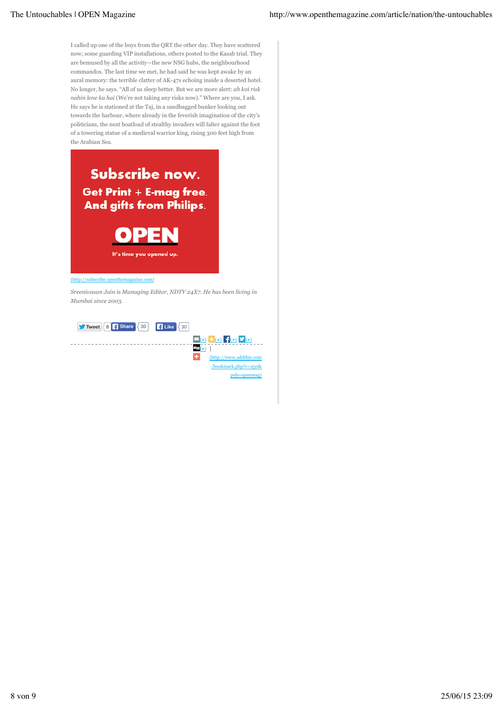I called up one of the boys from the QRT the other day. They have scattered now; some guarding VIP installations, others posted to the Kasab trial. They are bemused by all the activity—the new NSG hubs, the neighbourhood commandos. The last time we met, he had said he was kept awake by an aural memory: the terrible clatter of AK-47s echoing inside a deserted hotel. No longer, he says. "All of us sleep better. But we are more alert: *ab koi risk nahin lene ka hai* (We're not taking any risks now)." Where are you, I ask. He says he is stationed at the Taj, in a sandbagged bunker looking out towards the harbour, where already in the feverish imagination of the city's politicians, the next boatload of stealthy invaders will falter against the foot of a towering statue of a medieval warrior king, rising 300 feet high from the Arabian Sea.



## (http://subscribe.openthemagazine.com)

*Sreenivasan Jain is Managing Editor, NDTV 24X7. He has been living in Mumbai since 2003.*